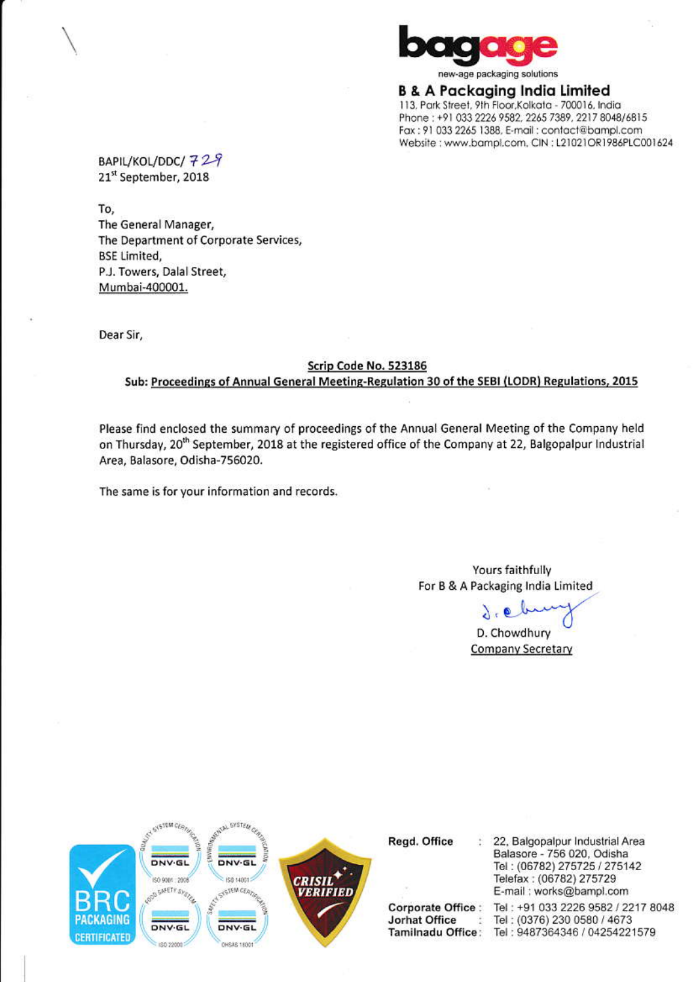

new-age packaging solutions

**B & A Packaging India Limited** 113, Park Street, 9th Floor, Kolkata - 700016, India Phone: +91 033 2226 9582, 2265 7389, 2217 8048/6815 Fax: 91 033 2265 1388, E-mail: contact@bampl.com Website : www.bampl.com, CIN : L21021OR1986PLC001624

BAPIL/KOL/DDC/729 21st September, 2018

To,

The General Manager, The Department of Corporate Services, **BSE Limited,** P.J. Towers, Dalal Street, Mumbai-400001.

Dear Sir,

## Scrip Code No. 523186

## Sub: Proceedings of Annual General Meeting-Regulation 30 of the SEBI (LODR) Regulations, 2015

Please find enclosed the summary of proceedings of the Annual General Meeting of the Company held on Thursday, 20<sup>th</sup> September, 2018 at the registered office of the Company at 22, Balgopalpur Industrial Area, Balasore, Odisha-756020.

The same is for your information and records.

Yours faithfully For B & A Packaging India Limited

 $0.06$ 

D. Chowdhury **Company Secretary** 



Regd. Office

**Corporate Office:** Jorhat Office 芝 22, Balgopalpur Industrial Area Balasore - 756 020, Odisha Tel: (06782) 275725 / 275142 Telefax: (06782) 275729 E-mail: works@bampl.com

Tel: +91 033 2226 9582 / 2217 8048 Tel: (0376) 230 0580 / 4673 Tamilnadu Office: Tel: 9487364346 / 04254221579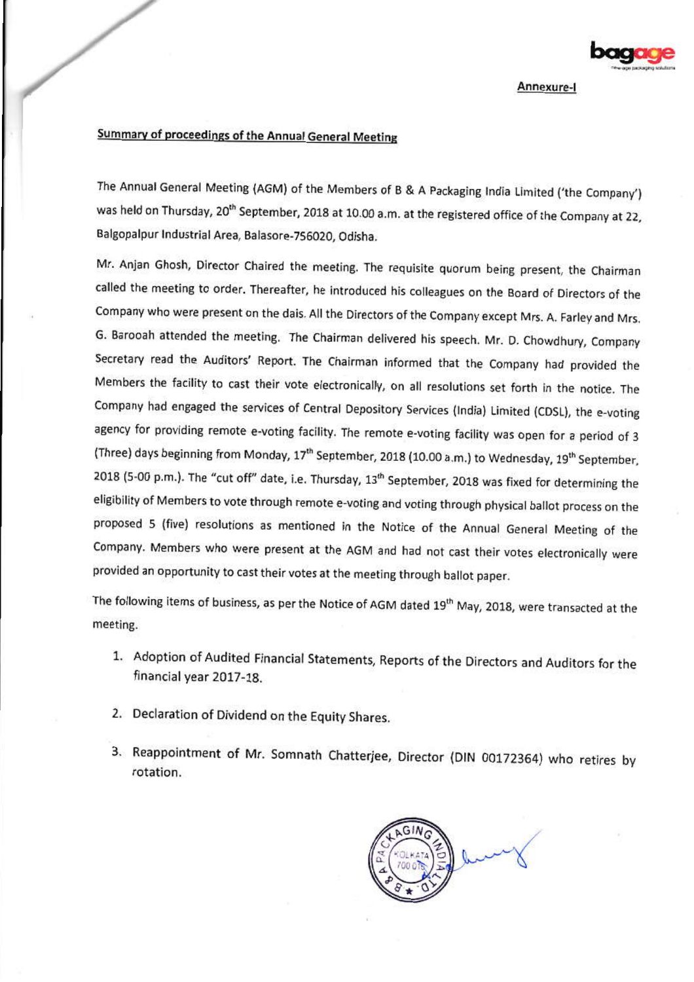

Annexure-I

## Summary of proceedings of the Annual General Meeting

The Annual General Meeting (AGM) of the Members of B & A Packaging India Limited ('the Company') was held on Thursday, 20<sup>th</sup> September, 2018 at 10.00 a.m. at the registered office of the Company at 22, Balgopalpur Industrial Area, Balasore-756020, Odisha.

Mr. Anjan Ghosh, Director Chaired the meeting. The requisite quorum being present, the Chairman called the meeting to order. Thereafter, he introduced his colleagues on the Board of Directors of the Company who were present on the dais. All the Directors of the Company except Mrs. A. Farley and Mrs. G. Barooah attended the meeting. The Chairman delivered his speech. Mr. D. Chowdhury, Company Secretary read the Auditors' Report. The Chairman informed that the Company had provided the Members the facility to cast their vote electronically, on all resolutions set forth in the notice. The Company had engaged the services of Central Depository Services (India) Limited (CDSL), the e-voting agency for providing remote e-voting facility. The remote e-voting facility was open for a period of 3 (Three) days beginning from Monday, 17<sup>th</sup> September, 2018 (10.00 a.m.) to Wednesday, 19<sup>th</sup> September, 2018 (5-00 p.m.). The "cut off" date, i.e. Thursday, 13<sup>th</sup> September, 2018 was fixed for determining the eligibility of Members to vote through remote e-voting and voting through physical ballot process on the proposed 5 (five) resolutions as mentioned in the Notice of the Annual General Meeting of the Company. Members who were present at the AGM and had not cast their votes electronically were provided an opportunity to cast their votes at the meeting through ballot paper.

The following items of business, as per the Notice of AGM dated 19<sup>th</sup> May, 2018, were transacted at the meeting.

- 1. Adoption of Audited Financial Statements, Reports of the Directors and Auditors for the financial year 2017-18.
- 2. Declaration of Dividend on the Equity Shares.
- 3. Reappointment of Mr. Somnath Chatterjee, Director (DIN 00172364) who retires by rotation.